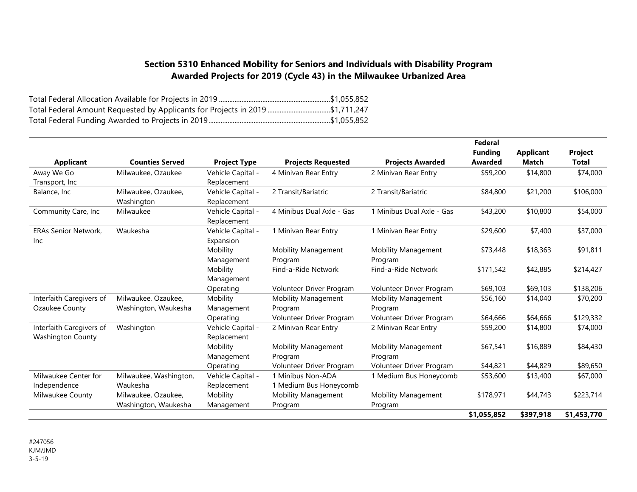## **Section 5310 Enhanced Mobility for Seniors and Individuals with Disability Program Awarded Projects for 2019 (Cycle 43) in the Milwaukee Urbanized Area**

| Total Federal Amount Requested by Applicants for Projects in 2019 \$1,711,247 |  |
|-------------------------------------------------------------------------------|--|
|                                                                               |  |

|                                                      |                                             |                                  |                                             |                                       | <b>Federal</b><br><b>Funding</b> | <b>Applicant</b> | Project     |
|------------------------------------------------------|---------------------------------------------|----------------------------------|---------------------------------------------|---------------------------------------|----------------------------------|------------------|-------------|
| <b>Applicant</b>                                     | <b>Counties Served</b>                      | <b>Project Type</b>              | <b>Projects Requested</b>                   | <b>Projects Awarded</b>               | Awarded                          | Match            | Total       |
| Away We Go<br>Transport, Inc.                        | Milwaukee, Ozaukee                          | Vehicle Capital -<br>Replacement | 4 Minivan Rear Entry                        | 2 Minivan Rear Entry                  | \$59,200                         | \$14,800         | \$74,000    |
| Balance, Inc.                                        | Milwaukee, Ozaukee,<br>Washington           | Vehicle Capital -<br>Replacement | 2 Transit/Bariatric                         | 2 Transit/Bariatric                   | \$84,800                         | \$21,200         | \$106,000   |
| Community Care, Inc                                  | Milwaukee                                   | Vehicle Capital -<br>Replacement | 4 Minibus Dual Axle - Gas                   | 1 Minibus Dual Axle - Gas             | \$43,200                         | \$10,800         | \$54,000    |
| <b>ERAs Senior Network.</b><br>-lnc                  | Waukesha                                    | Vehicle Capital -<br>Expansion   | 1 Minivan Rear Entry                        | 1 Minivan Rear Entry                  | \$29,600                         | \$7,400          | \$37,000    |
|                                                      |                                             | Mobility<br>Management           | <b>Mobility Management</b><br>Program       | Mobility Management<br>Program        | \$73,448                         | \$18,363         | \$91,811    |
|                                                      |                                             | Mobility<br>Management           | Find-a-Ride Network                         | Find-a-Ride Network                   | \$171,542                        | \$42,885         | \$214,427   |
|                                                      |                                             | Operating                        | Volunteer Driver Program                    | Volunteer Driver Program              | \$69,103                         | \$69,103         | \$138,206   |
| Interfaith Caregivers of<br>Ozaukee County           | Milwaukee, Ozaukee,<br>Washington, Waukesha | Mobility<br>Management           | Mobility Management<br>Program              | <b>Mobility Management</b><br>Program | \$56,160                         | \$14,040         | \$70,200    |
|                                                      |                                             | Operating                        | Volunteer Driver Program                    | Volunteer Driver Program              | \$64,666                         | \$64,666         | \$129,332   |
| Interfaith Caregivers of<br><b>Washington County</b> | Washington                                  | Vehicle Capital -<br>Replacement | 2 Minivan Rear Entry                        | 2 Minivan Rear Entry                  | \$59,200                         | \$14,800         | \$74,000    |
|                                                      |                                             | Mobility<br>Management           | <b>Mobility Management</b><br>Program       | Mobility Management<br>Program        | \$67,541                         | \$16,889         | \$84,430    |
|                                                      |                                             | Operating                        | Volunteer Driver Program                    | Volunteer Driver Program              | \$44,821                         | \$44,829         | \$89,650    |
| Milwaukee Center for<br>Independence                 | Milwaukee, Washington,<br>Waukesha          | Vehicle Capital -<br>Replacement | 1 Minibus Non-ADA<br>1 Medium Bus Honeycomb | 1 Medium Bus Honeycomb                | \$53,600                         | \$13,400         | \$67,000    |
| Milwaukee County                                     | Milwaukee, Ozaukee,<br>Washington, Waukesha | Mobility<br>Management           | Mobility Management<br>Program              | Mobility Management<br>Program        | \$178,971                        | \$44,743         | \$223,714   |
|                                                      |                                             |                                  |                                             |                                       | \$1,055,852                      | \$397,918        | \$1,453,770 |